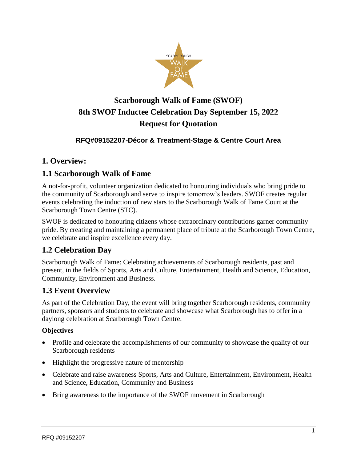

# **Scarborough Walk of Fame (SWOF) 8th SWOF Inductee Celebration Day September 15, 2022 Request for Quotation**

#### **RFQ#09152207-Décor & Treatment-Stage & Centre Court Area**

## **1. Overview:**

#### **1.1 Scarborough Walk of Fame**

A not-for-profit, volunteer organization dedicated to honouring individuals who bring pride to the community of Scarborough and serve to inspire tomorrow's leaders. SWOF creates regular events celebrating the induction of new stars to the Scarborough Walk of Fame Court at the Scarborough Town Centre (STC).

SWOF is dedicated to honouring citizens whose extraordinary contributions garner community pride. By creating and maintaining a permanent place of tribute at the Scarborough Town Centre, we celebrate and inspire excellence every day.

## **1.2 Celebration Day**

Scarborough Walk of Fame: Celebrating achievements of Scarborough residents, past and present, in the fields of Sports, Arts and Culture, Entertainment, Health and Science, Education, Community, Environment and Business.

#### **1.3 Event Overview**

As part of the Celebration Day, the event will bring together Scarborough residents, community partners, sponsors and students to celebrate and showcase what Scarborough has to offer in a daylong celebration at Scarborough Town Centre.

#### **Objectives**

- Profile and celebrate the accomplishments of our community to showcase the quality of our Scarborough residents
- Highlight the progressive nature of mentorship
- Celebrate and raise awareness Sports, Arts and Culture, Entertainment, Environment, Health and Science, Education, Community and Business
- Bring awareness to the importance of the SWOF movement in Scarborough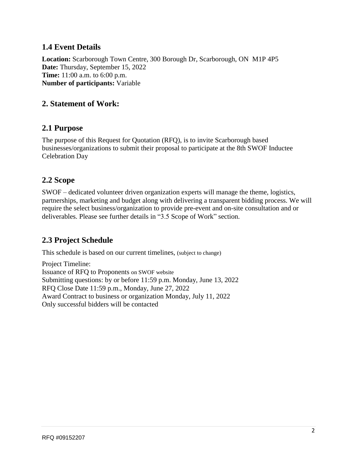## **1.4 Event Details**

**Location:** Scarborough Town Centre, 300 Borough Dr, Scarborough, ON M1P 4P5 **Date:** Thursday, September 15, 2022 **Time:** 11:00 a.m. to 6:00 p.m. **Number of participants:** Variable

#### **2. Statement of Work:**

#### **2.1 Purpose**

The purpose of this Request for Quotation (RFQ), is to invite Scarborough based businesses/organizations to submit their proposal to participate at the 8th SWOF Inductee Celebration Day

#### **2.2 Scope**

SWOF – dedicated volunteer driven organization experts will manage the theme, logistics, partnerships, marketing and budget along with delivering a transparent bidding process. We will require the select business/organization to provide pre-event and on-site consultation and or deliverables. Please see further details in "3.5 Scope of Work" section.

## **2.3 Project Schedule**

This schedule is based on our current timelines, (subject to change)

Project Timeline: Issuance of RFQ to Proponents on SWOF website Submitting questions: by or before 11:59 p.m. Monday, June 13, 2022 RFQ Close Date 11:59 p.m., Monday, June 27, 2022 Award Contract to business or organization Monday, July 11, 2022 Only successful bidders will be contacted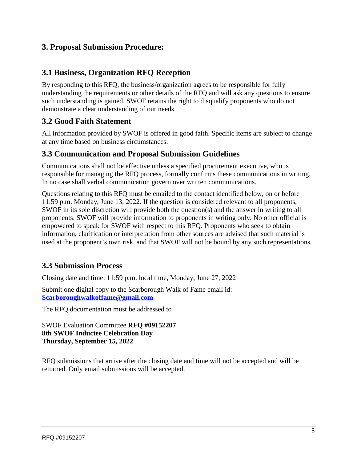## **3. Proposal Submission Procedure:**

#### **3.1 Business, Organization RFQ Reception**

By responding to this RFQ, the business/organization agrees to be responsible for fully understanding the requirements or other details of the RFQ and will ask any questions to ensure such understanding is gained. SWOF retains the right to disqualify proponents who do not demonstrate a clear understanding of our needs.

## **3.2 Good Faith Statement**

All information provided by SWOF is offered in good faith. Specific items are subject to change at any time based on business circumstances.

#### **3.3 Communication and Proposal Submission Guidelines**

Communications shall not be effective unless a specified procurement executive, who is responsible for managing the RFQ process, formally confirms these communications in writing. In no case shall verbal communication govern over written communications.

Questions relating to this RFQ must be emailed to the contact identified below, on or before 11:59 p.m. Monday, June 13, 2022. If the question is considered relevant to all proponents, SWOF in its sole discretion will provide both the question(s) and the answer in writing to all proponents. SWOF will provide information to proponents in writing only. No other official is empowered to speak for SWOF with respect to this RFQ. Proponents who seek to obtain information, clarification or interpretation from other sources are advised that such material is used at the proponent's own risk, and that SWOF will not be bound by any such representations.

## **3.3 Submission Process**

Closing date and time: 11:59 p.m. local time, Monday, June 27, 2022

Submit one digital copy to the Scarborough Walk of Fame email id: **[Scarboroughwalkoffame@gmail.com](mailto:Scarboroughwalkoffame@gmail.com)**

The RFQ documentation must be addressed to

SWOF Evaluation Committee **RFQ #09152207 8th SWOF Inductee Celebration Day Thursday, September 15, 2022**

RFQ submissions that arrive after the closing date and time will not be accepted and will be returned. Only email submissions will be accepted.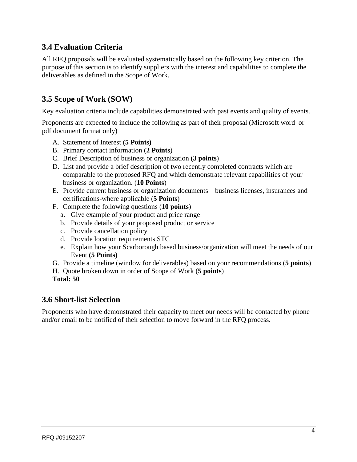## **3.4 Evaluation Criteria**

All RFQ proposals will be evaluated systematically based on the following key criterion. The purpose of this section is to identify suppliers with the interest and capabilities to complete the deliverables as defined in the Scope of Work.

## **3.5 Scope of Work (SOW)**

Key evaluation criteria include capabilities demonstrated with past events and quality of events.

Proponents are expected to include the following as part of their proposal (Microsoft word or pdf document format only)

- A. Statement of Interest **(5 Points)**
- B. Primary contact information (**2 Points**)
- C. Brief Description of business or organization (**3 points**)
- D. List and provide a brief description of two recently completed contracts which are comparable to the proposed RFQ and which demonstrate relevant capabilities of your business or organization. (**10 Points**)
- E. Provide current business or organization documents business licenses, insurances and certifications-where applicable (**5 Points**)
- F. Complete the following questions (**10 points**)
	- a. Give example of your product and price range
	- b. Provide details of your proposed product or service
	- c. Provide cancellation policy
	- d. Provide location requirements STC
	- e. Explain how your Scarborough based business/organization will meet the needs of our Event **(5 Points)**
- G. Provide a timeline (window for deliverables) based on your recommendations (**5 points**)
- H. Quote broken down in order of Scope of Work (**5 points**)
- **Total: 50**

#### **3.6 Short-list Selection**

Proponents who have demonstrated their capacity to meet our needs will be contacted by phone and/or email to be notified of their selection to move forward in the RFQ process.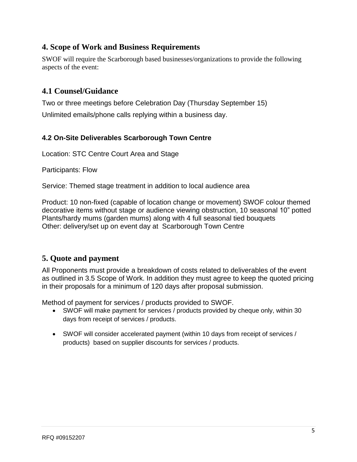## **4. Scope of Work and Business Requirements**

SWOF will require the Scarborough based businesses/organizations to provide the following aspects of the event:

## **4.1 Counsel/Guidance**

Two or three meetings before Celebration Day (Thursday September 15)

Unlimited emails/phone calls replying within a business day.

#### **4.2 On-Site Deliverables Scarborough Town Centre**

Location: STC Centre Court Area and Stage

Participants: Flow

Service: Themed stage treatment in addition to local audience area

Product: 10 non-fixed (capable of location change or movement) SWOF colour themed decorative items without stage or audience viewing obstruction, 10 seasonal 10" potted Plants/hardy mums (garden mums) along with 4 full seasonal tied bouquets Other: delivery/set up on event day at Scarborough Town Centre

## **5. Quote and payment**

All Proponents must provide a breakdown of costs related to deliverables of the event as outlined in 3.5 Scope of Work. In addition they must agree to keep the quoted pricing in their proposals for a minimum of 120 days after proposal submission.

Method of payment for services / products provided to SWOF.

- SWOF will make payment for services / products provided by cheque only, within 30 days from receipt of services / products.
- SWOF will consider accelerated payment (within 10 days from receipt of services / products) based on supplier discounts for services / products.